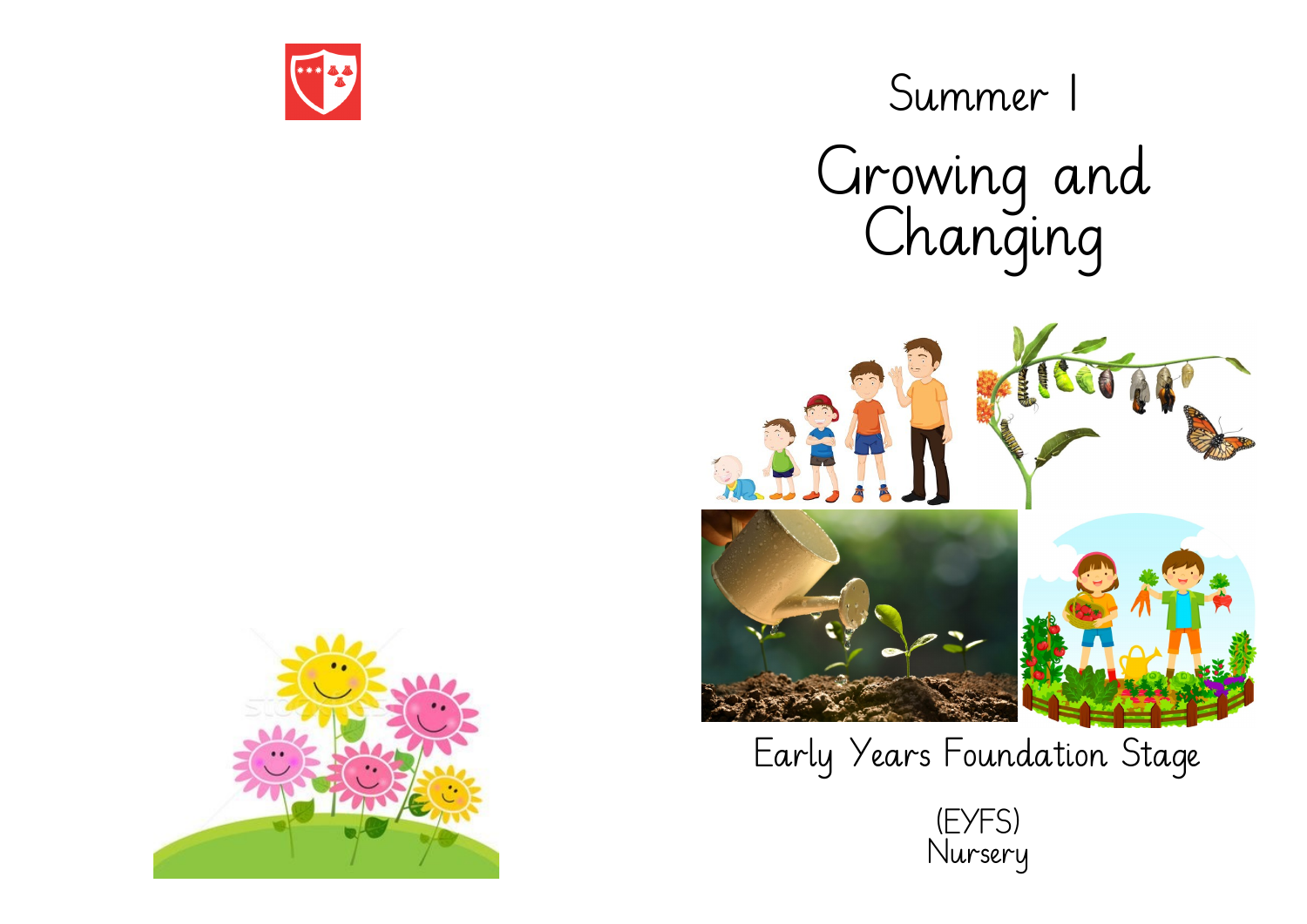

m Summer 1 Growing and Changing



Early Years Foundation Stage